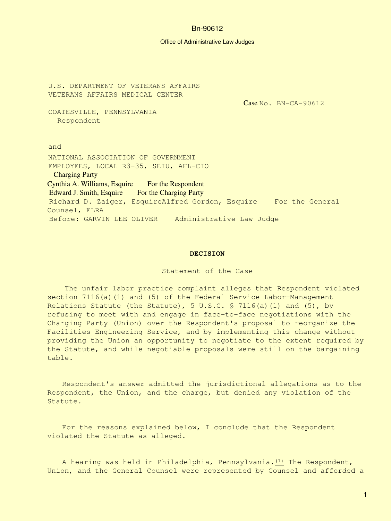#### Office of Administrative Law Judges

U.S. DEPARTMENT OF VETERANS AFFAIRS VETERANS AFFAIRS MEDICAL CENTER COATESVILLE, PENNSYLVANIA Respondent and Case No. BN-CA-90612 NATIONAL ASSOCIATION OF GOVERNMENT EMPLOYEES, LOCAL R3-35, SEIU, AFL-CIO Charging Party Cynthia A. Williams, Esquire For the Respondent Edward J. Smith, Esquire For the Charging Party Richard D. Zaiger, EsquireAlfred Gordon, Esquire For the General Counsel, FLRA Before: GARVIN LEE OLIVER Administrative Law Judge

#### **DECISION**

Statement of the Case

 The unfair labor practice complaint alleges that Respondent violated section 7116(a)(1) and (5) of the Federal Service Labor-Management Relations Statute (the Statute), 5 U.S.C. § 7116(a)(1) and (5), by refusing to meet with and engage in face-to-face negotiations with the Charging Party (Union) over the Respondent's proposal to reorganize the Facilities Engineering Service, and by implementing this change without providing the Union an opportunity to negotiate to the extent required by the Statute, and while negotiable proposals were still on the bargaining table.

Respondent's answer admitted the jurisdictional allegations as to the Respondent, the Union, and the charge, but denied any violation of the Statute.

For the reasons explained below, I conclude that the Respondent violated the Statute as alleged.

A hearing was held in Philadelphia, Pennsylvania. $(1)$  The Respondent, Union, and the General Counsel were represented by Counsel and afforded a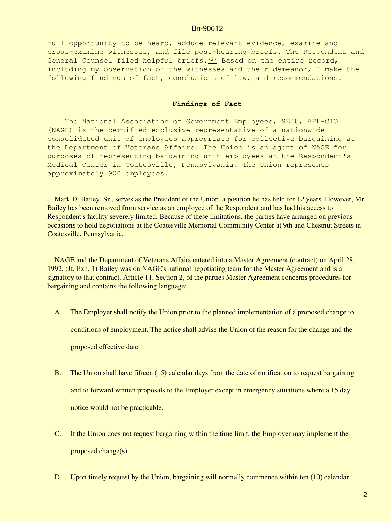full opportunity to be heard, adduce relevant evidence, examine and cross-examine witnesses, and file post-hearing briefs. The Respondent and General Counsel filed helpful briefs. $(2)$  Based on the entire record, including my observation of the witnesses and their demeanor, I make the following findings of fact, conclusions of law, and recommendations.

#### **Findings of Fact**

 The National Association of Government Employees, SEIU, AFL-CIO (NAGE) is the certified exclusive representative of a nationwide consolidated unit of employees appropriate for collective bargaining at the Department of Veterans Affairs. The Union is an agent of NAGE for purposes of representing bargaining unit employees at the Respondent's Medical Center in Coatesville, Pennsylvania. The Union represents approximately 900 employees.

Mark D. Bailey, Sr., serves as the President of the Union, a position he has held for 12 years. However, Mr. Bailey has been removed from service as an employee of the Respondent and has had his access to Respondent's facility severely limited. Because of these limitations, the parties have arranged on previous occasions to hold negotiations at the Coatesville Memorial Community Center at 9th and Chestnut Streets in Coatesville, Pennsylvania.

 NAGE and the Department of Veterans Affairs entered into a Master Agreement (contract) on April 28, 1992. (Jt. Exh. 1) Bailey was on NAGE's national negotiating team for the Master Agreement and is a signatory to that contract. Article 11, Section 2, of the parties Master Agreement concerns procedures for bargaining and contains the following language:

- A. The Employer shall notify the Union prior to the planned implementation of a proposed change to conditions of employment. The notice shall advise the Union of the reason for the change and the proposed effective date.
- B. The Union shall have fifteen (15) calendar days from the date of notification to request bargaining and to forward written proposals to the Employer except in emergency situations where a 15 day notice would not be practicable.
- C. If the Union does not request bargaining within the time limit, the Employer may implement the proposed change(s).
- D. Upon timely request by the Union, bargaining will normally commence within ten (10) calendar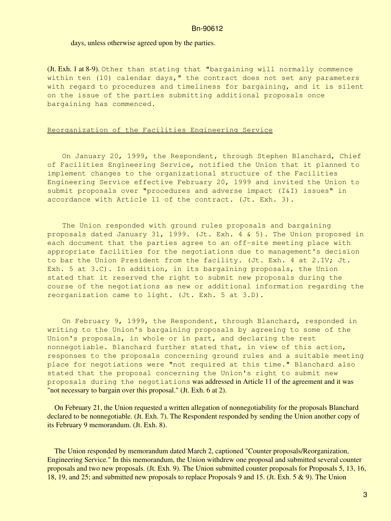## days, unless otherwise agreed upon by the parties.

(Jt. Exh. 1 at 8-9). Other than stating that "bargaining will normally commence within ten (10) calendar days," the contract does not set any parameters with regard to procedures and timeliness for bargaining, and it is silent on the issue of the parties submitting additional proposals once bargaining has commenced.

# Reorganization of the Facilities Engineering Service

On January 20, 1999, the Respondent, through Stephen Blanchard, Chief of Facilities Engineering Service, notified the Union that it planned to implement changes to the organizational structure of the Facilities Engineering Service effective February 20, 1999 and invited the Union to submit proposals over "procedures and adverse impact (I&I) issues" in accordance with Article 11 of the contract. (Jt. Exh. 3).

The Union responded with ground rules proposals and bargaining proposals dated January 31, 1999. (Jt. Exh. 4 & 5). The Union proposed in each document that the parties agree to an off-site meeting place with appropriate facilities for the negotiations due to management's decision to bar the Union President from the facility. (Jt. Exh. 4 at 2.IV; Jt. Exh. 5 at 3.C). In addition, in its bargaining proposals, the Union stated that it reserved the right to submit new proposals during the course of the negotiations as new or additional information regarding the reorganization came to light. (Jt. Exh. 5 at 3.D).

On February 9, 1999, the Respondent, through Blanchard, responded in writing to the Union's bargaining proposals by agreeing to some of the Union's proposals, in whole or in part, and declaring the rest nonnegotiable. Blanchard further stated that, in view of this action, responses to the proposals concerning ground rules and a suitable meeting place for negotiations were "not required at this time." Blanchard also stated that the proposal concerning the Union's right to submit new proposals during the negotiations was addressed in Article 11 of the agreement and it was "not necessary to bargain over this proposal." (Jt. Exh. 6 at 2).

 On February 21, the Union requested a written allegation of nonnegotiability for the proposals Blanchard declared to be nonnegotiable. (Jt. Exh. 7). The Respondent responded by sending the Union another copy of its February 9 memorandum. (Jt. Exh. 8).

 The Union responded by memorandum dated March 2, captioned "Counter proposals/Reorganization, Engineering Service." In this memorandum, the Union withdrew one proposal and submitted several counter proposals and two new proposals. (Jt. Exh. 9). The Union submitted counter proposals for Proposals 5, 13, 16, 18, 19, and 25; and submitted new proposals to replace Proposals 9 and 15. (Jt. Exh. 5 & 9). The Union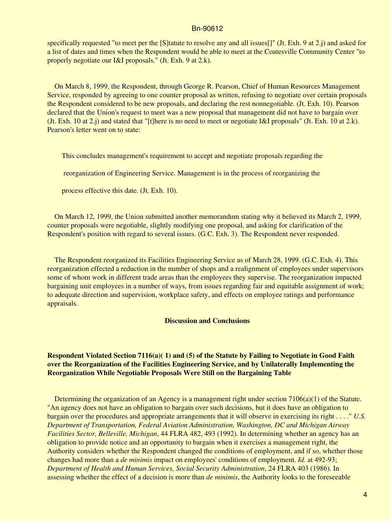specifically requested "to meet per the [S]tatute to resolve any and all issues[]" (Jt. Exh. 9 at 2.j) and asked for a list of dates and times when the Respondent would be able to meet at the Coatesville Community Center "to properly negotiate our I&I proposals." (Jt. Exh. 9 at 2.k).

 On March 8, 1999, the Respondent, through George R. Pearson, Chief of Human Resources Management Service, responded by agreeing to one counter proposal as written, refusing to negotiate over certain proposals the Respondent considered to be new proposals, and declaring the rest nonnegotiable. (Jt. Exh. 10). Pearson declared that the Union's request to meet was a new proposal that management did not have to bargain over (Jt. Exh. 10 at 2.j) and stated that "[t]here is no need to meet or negotiate I&I proposals" (Jt. Exh. 10 at 2.k). Pearson's letter went on to state:

This concludes management's requirement to accept and negotiate proposals regarding the

reorganization of Engineering Service. Management is in the process of reorganizing the

process effective this date. (Jt. Exh. 10).

 On March 12, 1999, the Union submitted another memorandum stating why it believed its March 2, 1999, counter proposals were negotiable, slightly modifying one proposal, and asking for clarification of the Respondent's position with regard to several issues. (G.C. Exh. 3). The Respondent never responded.

 The Respondent reorganized its Facilities Engineering Service as of March 28, 1999. (G.C. Exh. 4). This reorganization effected a reduction in the number of shops and a realignment of employees under supervisors some of whom work in different trade areas than the employees they supervise. The reorganization impacted bargaining unit employees in a number of ways, from issues regarding fair and equitable assignment of work; to adequate direction and supervision, workplace safety, and effects on employee ratings and performance appraisals.

# **Discussion and Conclusions**

# **Respondent Violated Section 7116(a)( 1) and (5) of the Statute by Failing to Negotiate in Good Faith over the Reorganization of the Facilities Engineering Service, and by Unilaterally Implementing the Reorganization While Negotiable Proposals Were Still on the Bargaining Table**

Determining the organization of an Agency is a management right under section  $7106(a)(1)$  of the Statute. "An agency does not have an obligation to bargain over such decisions, but it does have an obligation to bargain over the procedures and appropriate arrangements that it will observe in exercising its right . . . ." *U.S. Department of Transportation, Federal Aviation Administration, Washington, DC and Michigan Airway Facilities Sector, Belleville, Michigan*, 44 FLRA 482, 493 (1992). In determining whether an agency has an obligation to provide notice and an opportunity to bargain when it exercises a management right, the Authority considers whether the Respondent changed the conditions of employment, and if so, whether those changes had more than a *de minimis* impact on employees' conditions of employment. *Id.* at 492-93; *Department of Health and Human Services, Social Security Administration*, 24 FLRA 403 (1986). In assessing whether the effect of a decision is more than *de minimis*, the Authority looks to the foreseeable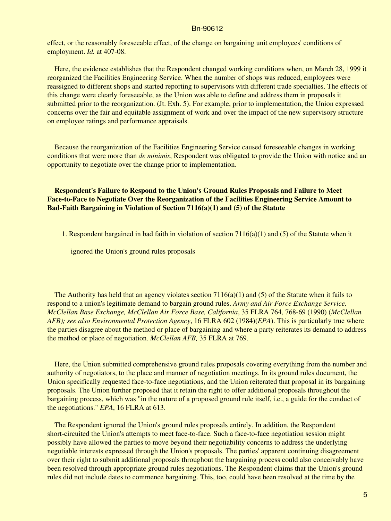effect, or the reasonably foreseeable effect, of the change on bargaining unit employees' conditions of employment. *Id.* at 407-08.

 Here, the evidence establishes that the Respondent changed working conditions when, on March 28, 1999 it reorganized the Facilities Engineering Service. When the number of shops was reduced, employees were reassigned to different shops and started reporting to supervisors with different trade specialties. The effects of this change were clearly foreseeable, as the Union was able to define and address them in proposals it submitted prior to the reorganization. (Jt. Exh. 5). For example, prior to implementation, the Union expressed concerns over the fair and equitable assignment of work and over the impact of the new supervisory structure on employee ratings and performance appraisals.

 Because the reorganization of the Facilities Engineering Service caused foreseeable changes in working conditions that were more than *de minimis*, Respondent was obligated to provide the Union with notice and an opportunity to negotiate over the change prior to implementation.

 **Respondent's Failure to Respond to the Union's Ground Rules Proposals and Failure to Meet Face-to-Face to Negotiate Over the Reorganization of the Facilities Engineering Service Amount to Bad-Faith Bargaining in Violation of Section 7116(a)(1) and (5) of the Statute**

1. Respondent bargained in bad faith in violation of section 7116(a)(1) and (5) of the Statute when it

ignored the Union's ground rules proposals

The Authority has held that an agency violates section  $7116(a)(1)$  and (5) of the Statute when it fails to respond to a union's legitimate demand to bargain ground rules. *Army and Air Force Exchange Service, McClellan Base Exchange, McClellan Air Force Base, California*, 35 FLRA 764, 768-69 (1990) (*McClellan AFB); see also Environmental Protection Agency*, 16 FLRA 602 (1984)(*EPA*). This is particularly true where the parties disagree about the method or place of bargaining and where a party reiterates its demand to address the method or place of negotiation. *McClellan AFB,* 35 FLRA at 769.

 Here, the Union submitted comprehensive ground rules proposals covering everything from the number and authority of negotiators, to the place and manner of negotiation meetings. In its ground rules document, the Union specifically requested face-to-face negotiations, and the Union reiterated that proposal in its bargaining proposals. The Union further proposed that it retain the right to offer additional proposals throughout the bargaining process, which was "in the nature of a proposed ground rule itself, i.e., a guide for the conduct of the negotiations." *EPA*, 16 FLRA at 613.

 The Respondent ignored the Union's ground rules proposals entirely. In addition, the Respondent short-circuited the Union's attempts to meet face-to-face. Such a face-to-face negotiation session might possibly have allowed the parties to move beyond their negotiability concerns to address the underlying negotiable interests expressed through the Union's proposals. The parties' apparent continuing disagreement over their right to submit additional proposals throughout the bargaining process could also conceivably have been resolved through appropriate ground rules negotiations. The Respondent claims that the Union's ground rules did not include dates to commence bargaining. This, too, could have been resolved at the time by the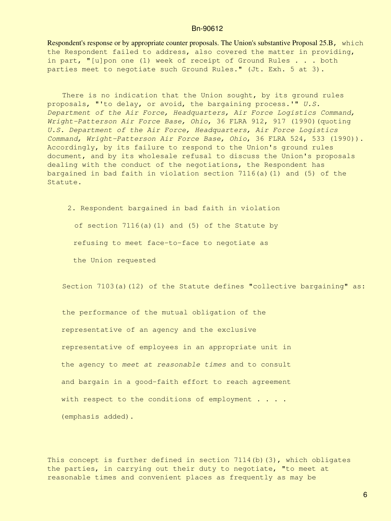Respondent's response or by appropriate counter proposals. The Union's substantive Proposal 25.B, which the Respondent failed to address, also covered the matter in providing, in part, "[u]pon one (1) week of receipt of Ground Rules . . . both parties meet to negotiate such Ground Rules." (Jt. Exh. 5 at 3).

There is no indication that the Union sought, by its ground rules proposals, "'to delay, or avoid, the bargaining process.'" *U.S. Department of the Air Force, Headquarters, Air Force Logistics Command, Wright-Patterson Air Force Base, Ohio*, 36 FLRA 912, 917 (1990)(quoting *U.S. Department of the Air Force, Headquarters, Air Force Logistics Command, Wright-Patterson Air Force Base, Ohio*, 36 FLRA 524, 533 (1990)). Accordingly, by its failure to respond to the Union's ground rules document, and by its wholesale refusal to discuss the Union's proposals dealing with the conduct of the negotiations, the Respondent has bargained in bad faith in violation section 7116(a)(1) and (5) of the Statute.

2. Respondent bargained in bad faith in violation of section 7116(a)(1) and (5) of the Statute by refusing to meet face-to-face to negotiate as the Union requested

Section 7103(a)(12) of the Statute defines "collective bargaining" as:

the performance of the mutual obligation of the representative of an agency and the exclusive representative of employees in an appropriate unit in the agency to *meet at reasonable times* and to consult and bargain in a good-faith effort to reach agreement with respect to the conditions of employment . . . . (emphasis added).

This concept is further defined in section  $7114(b)(3)$ , which obligates the parties, in carrying out their duty to negotiate, "to meet at reasonable times and convenient places as frequently as may be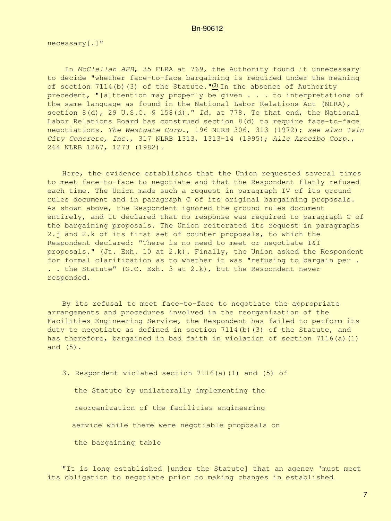necessary[.]"

 In *McClellan AFB*, 35 FLRA at 769, the Authority found it unnecessary to decide "whether face-to-face bargaining is required under the meaning of section 7114(b)[\(3\)](#page-16-0) of the Statute." $(3)$  In the absence of Authority precedent, "[a]ttention may properly be given . . . to interpretations of the same language as found in the National Labor Relations Act (NLRA), section 8(d), 29 U.S.C. § 158(d)." *Id.* at 778. To that end, the National Labor Relations Board has construed section 8(d) to require face-to-face negotiations. *The Westgate Corp.*, 196 NLRB 306, 313 (1972); *see also Twin City Concrete, Inc.*, 317 NLRB 1313, 1313-14 (1995); *Alle Arecibo Corp.*, 264 NLRB 1267, 1273 (1982).

Here, the evidence establishes that the Union requested several times to meet face-to-face to negotiate and that the Respondent flatly refused each time. The Union made such a request in paragraph IV of its ground rules document and in paragraph C of its original bargaining proposals. As shown above, the Respondent ignored the ground rules document entirely, and it declared that no response was required to paragraph C of the bargaining proposals. The Union reiterated its request in paragraphs 2.j and 2.k of its first set of counter proposals, to which the Respondent declared: "There is no need to meet or negotiate I&I proposals." (Jt. Exh. 10 at 2.k). Finally, the Union asked the Respondent for formal clarification as to whether it was "refusing to bargain per . . . the Statute" (G.C. Exh. 3 at 2.k), but the Respondent never responded.

By its refusal to meet face-to-face to negotiate the appropriate arrangements and procedures involved in the reorganization of the Facilities Engineering Service, the Respondent has failed to perform its duty to negotiate as defined in section  $7114(b)$  (3) of the Statute, and has therefore, bargained in bad faith in violation of section 7116(a)(1) and (5).

3. Respondent violated section 7116(a)(1) and (5) of

 the Statute by unilaterally implementing the reorganization of the facilities engineering service while there were negotiable proposals on the bargaining table

"It is long established [under the Statute] that an agency 'must meet its obligation to negotiate prior to making changes in established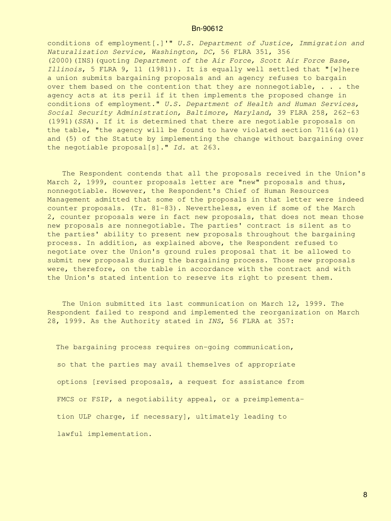conditions of employment[.]'" *U.S. Department of Justice, Immigration and Naturalization Service, Washington, DC*, 56 FLRA 351, 356 (2000)(INS)(quoting *Department of the Air Force, Scott Air Force Base, Illinois*, 5 FLRA 9, 11 (1981)). It is equally well settled that "[w]here a union submits bargaining proposals and an agency refuses to bargain over them based on the contention that they are nonnegotiable,  $\ldots$  the agency acts at its peril if it then implements the proposed change in conditions of employment." *U.S. Department of Health and Human Services, Social Security Administration, Baltimore, Maryland*, 39 FLRA 258, 262-63 (1991)(*SSA*). If it is determined that there are negotiable proposals on the table, "the agency will be found to have violated section  $7116(a)(1)$ and (5) of the Statute by implementing the change without bargaining over the negotiable proposal[s]." *Id.* at 263.

The Respondent contends that all the proposals received in the Union's March 2, 1999, counter proposals letter are "new" proposals and thus, nonnegotiable. However, the Respondent's Chief of Human Resources Management admitted that some of the proposals in that letter were indeed counter proposals. (Tr. 81-83). Nevertheless, even if some of the March 2, counter proposals were in fact new proposals, that does not mean those new proposals are nonnegotiable. The parties' contract is silent as to the parties' ability to present new proposals throughout the bargaining process. In addition, as explained above, the Respondent refused to negotiate over the Union's ground rules proposal that it be allowed to submit new proposals during the bargaining process. Those new proposals were, therefore, on the table in accordance with the contract and with the Union's stated intention to reserve its right to present them.

The Union submitted its last communication on March 12, 1999. The Respondent failed to respond and implemented the reorganization on March 28, 1999. As the Authority stated in *INS*, 56 FLRA at 357:

 The bargaining process requires on-going communication, so that the parties may avail themselves of appropriate options [revised proposals, a request for assistance from FMCS or FSIP, a negotiability appeal, or a preimplementa tion ULP charge, if necessary], ultimately leading to lawful implementation.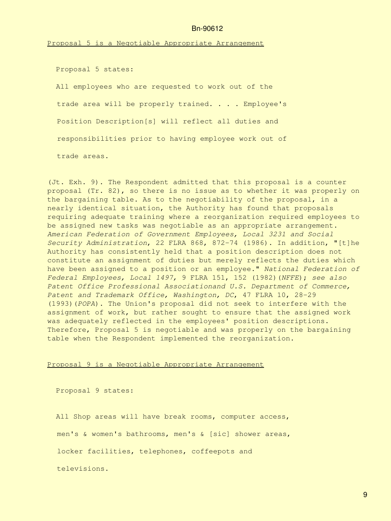Proposal 5 is a Negotiable Appropriate Arrangement

Proposal 5 states:

 All employees who are requested to work out of the trade area will be properly trained. . . . Employee's Position Description[s] will reflect all duties and responsibilities prior to having employee work out of trade areas.

(Jt. Exh. 9). The Respondent admitted that this proposal is a counter proposal (Tr. 82), so there is no issue as to whether it was properly on the bargaining table. As to the negotiability of the proposal, in a nearly identical situation, the Authority has found that proposals requiring adequate training where a reorganization required employees to be assigned new tasks was negotiable as an appropriate arrangement. *American Federation of Government Employees, Local 3231 and Social Security Administration*, 22 FLRA 868, 872-74 (1986). In addition, "[t]he Authority has consistently held that a position description does not constitute an assignment of duties but merely reflects the duties which have been assigned to a position or an employee." *National Federation of Federal Employees, Local 1497,* 9 FLRA 151, 152 (1982)(*NFFE*); *see also Patent Office Professional Associationand U.S. Department of Commerce, Patent and Trademark Office, Washington, DC*, 47 FLRA 10, 28-29 (1993)(*POPA*). The Union's proposal did not seek to interfere with the assignment of work, but rather sought to ensure that the assigned work was adequately reflected in the employees' position descriptions. Therefore, Proposal 5 is negotiable and was properly on the bargaining table when the Respondent implemented the reorganization.

# Proposal 9 is a Negotiable Appropriate Arrangement

Proposal 9 states:

All Shop areas will have break rooms, computer access, men's & women's bathrooms, men's & [sic] shower areas, locker facilities, telephones, coffeepots and televisions.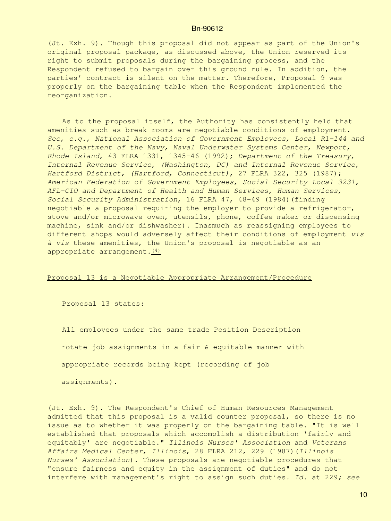(Jt. Exh. 9). Though this proposal did not appear as part of the Union's original proposal package, as discussed above, the Union reserved its right to submit proposals during the bargaining process, and the Respondent refused to bargain over this ground rule. In addition, the parties' contract is silent on the matter. Therefore, Proposal 9 was properly on the bargaining table when the Respondent implemented the reorganization.

As to the proposal itself, the Authority has consistently held that amenities such as break rooms are negotiable conditions of employment. *See, e.g., National Association of Government Employees, Local R1-144 and U.S. Department of the Navy, Naval Underwater Systems Center, Newport, Rhode Island*, 43 FLRA 1331, 1345-46 (1992); *Department of the Treasury, Internal Revenue Service, (Washington, DC) and Internal Revenue Service, Hartford District, (Hartford, Connecticut),* 27 FLRA 322, 325 (1987); *American Federation of Government Employees, Social Security Local 3231, AFL-CIO and Department of Health and Human Services, Human Services, Social Security Administration*, 16 FLRA 47, 48-49 (1984)(finding negotiable a proposal requiring the employer to provide a refrigerator, stove and/or microwave oven, utensils, phone, coffee maker or dispensing machine, sink and/or dishwasher). Inasmuch as reassigning employees to different shops would adversely affect their conditions of employment *vis à vis* these amenities, the Union's proposal is negotiable as an appropriate arrangement. $(4)$ 

## Proposal 13 is a Negotiable Appropriate Arrangement/Procedure

Proposal 13 states:

All employees under the same trade Position Description rotate job assignments in a fair & equitable manner with appropriate records being kept (recording of job assignments).

(Jt. Exh. 9). The Respondent's Chief of Human Resources Management admitted that this proposal is a valid counter proposal, so there is no issue as to whether it was properly on the bargaining table. "It is well established that proposals which accomplish a distribution 'fairly and equitably' are negotiable." *Illinois Nurses' Association* and *Veterans Affairs Medical Center, Illinois*, 28 FLRA 212, 229 (1987)(*Illinois Nurses' Association*). These proposals are negotiable procedures that "ensure fairness and equity in the assignment of duties" and do not interfere with management's right to assign such duties. *Id.* at 229*; see*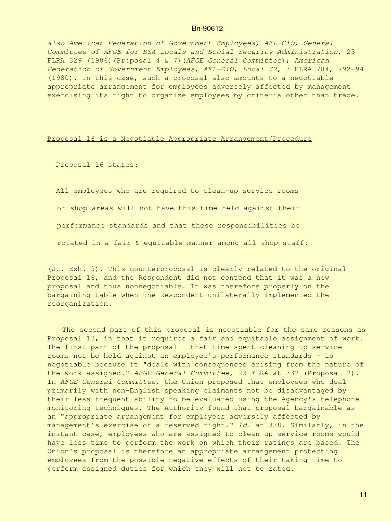*also American Federation of Government Employees, AFL-CIO, General Committee of AFGE for SSA Locals and Social Security Administration*, 23 FLRA 329 (1986)(Proposal 4 & 7)(*AFGE General Committee*); *American Federation of Government Employees, AFL-CIO, Local 32*, 3 FLRA 784, 792-94 (1980). In this case, such a proposal also amounts to a negotiable appropriate arrangement for employees adversely affected by management exercising its right to organize employees by criteria other than trade.

### Proposal 16 is a Negotiable Appropriate Arrangement/Procedure

Proposal 16 states:

 All employees who are required to clean-up service rooms or shop areas will not have this time held against their performance standards and that these responsibilities be rotated in a fair & equitable manner among all shop staff.

(Jt. Exh. 9). This counterproposal is clearly related to the original Proposal 16, and the Respondent did not contend that it was a new proposal and thus nonnegotiable. It was therefore properly on the bargaining table when the Respondent unilaterally implemented the reorganization.

The second part of this proposal is negotiable for the same reasons as Proposal 13, in that it requires a fair and equitable assignment of work. The first part of the proposal - that time spent cleaning up service rooms not be held against an employee's performance standards - is negotiable because it "deals with consequences arising from the nature of the work assigned." *AFGE General Committee*, 23 FLRA at 337 (Proposal 7). In *AFGE General Committee*, the Union proposed that employees who deal primarily with non-English speaking claimants not be disadvantaged by their less frequent ability to be evaluated using the Agency's telephone monitoring techniques. The Authority found that proposal bargainable as an "appropriate arrangement for employees adversely affected by management's exercise of a reserved right." *Id.* at 338. Similarly, in the instant case, employees who are assigned to clean up service rooms would have less time to perform the work on which their ratings are based. The Union's proposal is therefore an appropriate arrangement protecting employees from the possible negative effects of their taking time to perform assigned duties for which they will not be rated.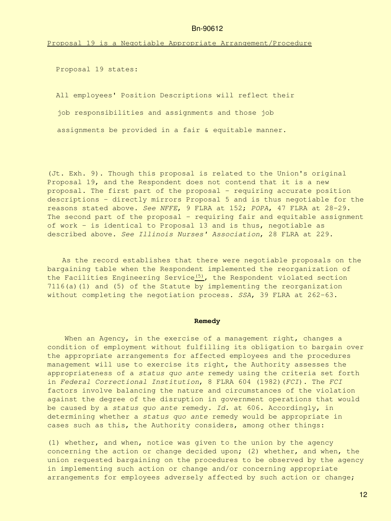Proposal 19 is a Negotiable Appropriate Arrangement/Procedure

Proposal 19 states:

All employees' Position Descriptions will reflect their

job responsibilities and assignments and those job

assignments be provided in a fair & equitable manner.

(Jt. Exh. 9). Though this proposal is related to the Union's original Proposal 19, and the Respondent does not contend that it is a new proposal. The first part of the proposal - requiring accurate position descriptions - directly mirrors Proposal 5 and is thus negotiable for the reasons stated above. *See NFFE*, 9 FLRA at 152; *POPA*, 47 FLRA at 28-29. The second part of the proposal - requiring fair and equitable assignment of work - is identical to Proposal 13 and is thus, negotiable as described above. *See Illinois Nurses' Association*, 28 FLRA at 229.

As the record establishes that there were negotiable proposals on the bargaining table when the Respondent implemented the reorganization of the Facilities Engineering Service $(5)$ , the Respondent violated section 7116(a)(1) and (5) of the Statute by implementing the reorganization without completing the negotiation process. *SSA*, 39 FLRA at 262-63.

#### **Remedy**

When an Agency, in the exercise of a management right, changes a condition of employment without fulfilling its obligation to bargain over the appropriate arrangements for affected employees and the procedures management will use to exercise its right, the Authority assesses the appropriateness of a *status quo ante* remedy using the criteria set forth in *Federal Correctional Institution*, 8 FLRA 604 (1982)(*FCI*). The *FCI* factors involve balancing the nature and circumstances of the violation against the degree of the disruption in government operations that would be caused by a *status quo ante* remedy. *Id.* at 606. Accordingly, in determining whether a *status quo ante* remedy would be appropriate in cases such as this, the Authority considers, among other things:

(1) whether, and when, notice was given to the union by the agency concerning the action or change decided upon; (2) whether, and when, the union requested bargaining on the procedures to be observed by the agency in implementing such action or change and/or concerning appropriate arrangements for employees adversely affected by such action or change;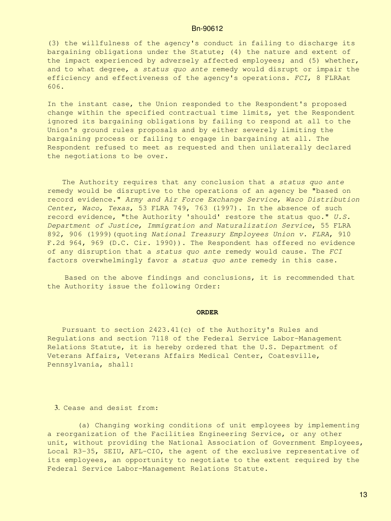(3) the willfulness of the agency's conduct in failing to discharge its bargaining obligations under the Statute; (4) the nature and extent of the impact experienced by adversely affected employees; and (5) whether, and to what degree, a *status quo ante* remedy would disrupt or impair the efficiency and effectiveness of the agency's operations. *FCI,* 8 FLRAat 606.

In the instant case, the Union responded to the Respondent's proposed change within the specified contractual time limits, yet the Respondent ignored its bargaining obligations by failing to respond at all to the Union's ground rules proposals and by either severely limiting the bargaining process or failing to engage in bargaining at all. The Respondent refused to meet as requested and then unilaterally declared the negotiations to be over.

The Authority requires that any conclusion that a *status quo ante* remedy would be disruptive to the operations of an agency be "based on record evidence." *Army and Air Force Exchange Service, Waco Distribution Center, Waco, Texas*, 53 FLRA 749, 763 (1997). In the absence of such record evidence, "the Authority 'should' restore the status quo." *U.S. Department of Justice, Immigration and Naturalization Service*, 55 FLRA 892, 906 (1999)(quoting *National Treasury Employees Union v. FLRA*, 910 F.2d 964, 969 (D.C. Cir. 1990)). The Respondent has offered no evidence of any disruption that a *status quo ante* remedy would cause. The *FCI* factors overwhelmingly favor a *status quo ante* remedy in this case.

 Based on the above findings and conclusions, it is recommended that the Authority issue the following Order:

#### **ORDER**

Pursuant to section 2423.41(c) of the Authority's Rules and Regulations and section 7118 of the Federal Service Labor-Management Relations Statute, it is hereby ordered that the U.S. Department of Veterans Affairs, Veterans Affairs Medical Center, Coatesville, Pennsylvania, shall:

#### 3. Cease and desist from:

 (a) Changing working conditions of unit employees by implementing a reorganization of the Facilities Engineering Service, or any other unit, without providing the National Association of Government Employees, Local R3-35, SEIU, AFL-CIO, the agent of the exclusive representative of its employees, an opportunity to negotiate to the extent required by the Federal Service Labor-Management Relations Statute.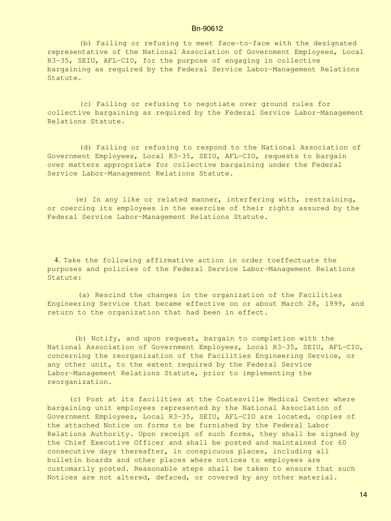(b) Failing or refusing to meet face-to-face with the designated representative of the National Association of Government Employees, Local R3-35, SEIU, AFL-CIO, for the purpose of engaging in collective bargaining as required by the Federal Service Labor-Management Relations Statute.

(c) Failing or refusing to negotiate over ground rules for collective bargaining as required by the Federal Service Labor-Management Relations Statute.

(d) Failing or refusing to respond to the National Association of Government Employees, Local R3-35, SEIU, AFL-CIO, requests to bargain over matters appropriate for collective bargaining under the Federal Service Labor-Management Relations Statute.

(e) In any like or related manner, interfering with, restraining, or coercing its employees in the exercise of their rights assured by the Federal Service Labor-Management Relations Statute.

 4. Take the following affirmative action in order toeffectuate the purposes and policies of the Federal Service Labor-Management Relations Statute:

 (a) Rescind the changes in the organization of the Facilities Engineering Service that became effective on or about March 28, 1999, and return to the organization that had been in effect.

(b) Notify, and upon request, bargain to completion with the National Association of Government Employees, Local R3-35, SEIU, AFL-CIO, concerning the reorganization of the Facilities Engineering Service, or any other unit, to the extent required by the Federal Service Labor-Management Relations Statute, prior to implementing the reorganization.

 (c) Post at its facilities at the Coatesville Medical Center where bargaining unit employees represented by the National Association of Government Employees, Local R3-35, SEIU, AFL-CIO are located, copies of the attached Notice on forms to be furnished by the Federal Labor Relations Authority. Upon receipt of such forms, they shall be signed by the Chief Executive Officer and shall be posted and maintained for 60 consecutive days thereafter, in conspicuous places, including all bulletin boards and other places where notices to employees are customarily posted. Reasonable steps shall be taken to ensure that such Notices are not altered, defaced, or covered by any other material.

14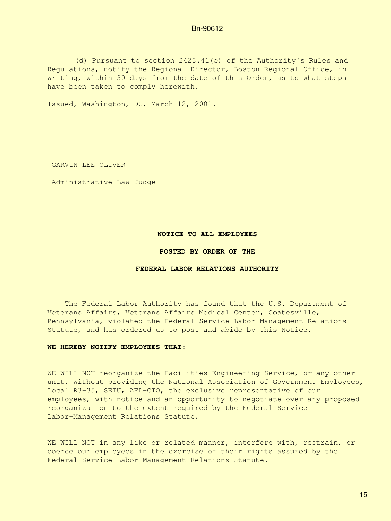(d) Pursuant to section 2423.41(e) of the Authority's Rules and Regulations, notify the Regional Director, Boston Regional Office, in writing, within 30 days from the date of this Order, as to what steps have been taken to comply herewith.

 $\mathcal{L}_\text{max}$  , which is a set of the set of the set of the set of the set of the set of the set of the set of the set of the set of the set of the set of the set of the set of the set of the set of the set of the set of

Issued, Washington, DC, March 12, 2001.

GARVIN LEE OLIVER

Administrative Law Judge

#### **NOTICE TO ALL EMPLOYEES**

#### **POSTED BY ORDER OF THE**

### **FEDERAL LABOR RELATIONS AUTHORITY**

 The Federal Labor Authority has found that the U.S. Department of Veterans Affairs, Veterans Affairs Medical Center, Coatesville, Pennsylvania, violated the Federal Service Labor-Management Relations Statute, and has ordered us to post and abide by this Notice.

## **WE HEREBY NOTIFY EMPLOYEES THAT:**

WE WILL NOT reorganize the Facilities Engineering Service, or any other unit, without providing the National Association of Government Employees, Local R3-35, SEIU, AFL-CIO, the exclusive representative of our employees, with notice and an opportunity to negotiate over any proposed reorganization to the extent required by the Federal Service Labor-Management Relations Statute.

WE WILL NOT in any like or related manner, interfere with, restrain, or coerce our employees in the exercise of their rights assured by the Federal Service Labor-Management Relations Statute.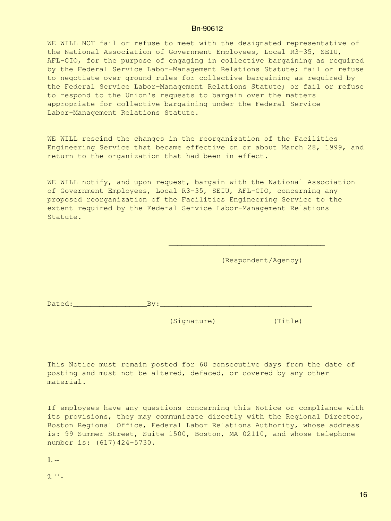WE WILL NOT fail or refuse to meet with the designated representative of the National Association of Government Employees, Local R3-35, SEIU, AFL-CIO, for the purpose of engaging in collective bargaining as required by the Federal Service Labor-Management Relations Statute; fail or refuse to negotiate over ground rules for collective bargaining as required by the Federal Service Labor-Management Relations Statute; or fail or refuse to respond to the Union's requests to bargain over the matters appropriate for collective bargaining under the Federal Service Labor-Management Relations Statute.

WE WILL rescind the changes in the reorganization of the Facilities Engineering Service that became effective on or about March 28, 1999, and return to the organization that had been in effect.

WE WILL notify, and upon request, bargain with the National Association of Government Employees, Local R3-35, SEIU, AFL-CIO, concerning any proposed reorganization of the Facilities Engineering Service to the extent required by the Federal Service Labor-Management Relations Statute.

 $\frac{1}{\sqrt{2}}$  , and the contract of  $\frac{1}{\sqrt{2}}$  , and the contract of  $\frac{1}{\sqrt{2}}$  , and the contract of  $\frac{1}{\sqrt{2}}$ 

(Respondent/Agency)

Dated:\_\_\_\_\_\_\_\_\_\_\_\_\_\_\_\_\_By:\_\_\_\_\_\_\_\_\_\_\_\_\_\_\_\_\_\_\_\_\_\_\_\_\_\_\_\_\_\_\_\_\_\_\_

(Signature) (Title)

This Notice must remain posted for 60 consecutive days from the date of posting and must not be altered, defaced, or covered by any other material.

If employees have any questions concerning this Notice or compliance with its provisions, they may communicate directly with the Regional Director, Boston Regional Office, Federal Labor Relations Authority, whose address is: 99 Summer Street, Suite 1500, Boston, MA 02110, and whose telephone number is: (617) 424-5730.

<span id="page-15-0"></span> $1. - -$ 

<span id="page-15-1"></span> $2.$  ' ' -